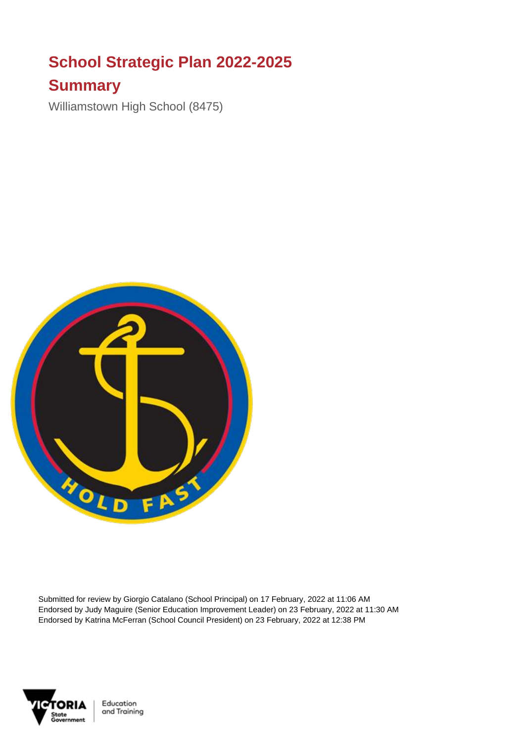## **School Strategic Plan 2022-2025**

## **Summary**

Williamstown High School (8475)



Submitted for review by Giorgio Catalano (School Principal) on 17 February, 2022 at 11:06 AM Endorsed by Judy Maguire (Senior Education Improvement Leader) on 23 February, 2022 at 11:30 AM Endorsed by Katrina McFerran (School Council President) on 23 February, 2022 at 12:38 PM



Education and Training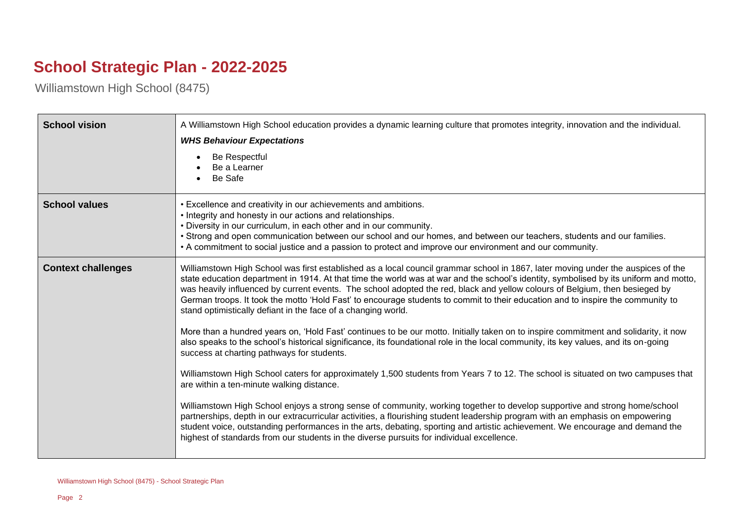## **School Strategic Plan - 2022-2025**

Williamstown High School (8475)

| <b>School vision</b>      | A Williamstown High School education provides a dynamic learning culture that promotes integrity, innovation and the individual.<br><b>WHS Behaviour Expectations</b><br>Be Respectful<br>Be a Learner<br>Be Safe                                                                                                                                                                                                                                                                                                                                                                                                                                                                                                                                                                                                                                                                           |
|---------------------------|---------------------------------------------------------------------------------------------------------------------------------------------------------------------------------------------------------------------------------------------------------------------------------------------------------------------------------------------------------------------------------------------------------------------------------------------------------------------------------------------------------------------------------------------------------------------------------------------------------------------------------------------------------------------------------------------------------------------------------------------------------------------------------------------------------------------------------------------------------------------------------------------|
| <b>School values</b>      | • Excellence and creativity in our achievements and ambitions.<br>• Integrity and honesty in our actions and relationships.<br>. Diversity in our curriculum, in each other and in our community.<br>• Strong and open communication between our school and our homes, and between our teachers, students and our families.<br>• A commitment to social justice and a passion to protect and improve our environment and our community.                                                                                                                                                                                                                                                                                                                                                                                                                                                     |
| <b>Context challenges</b> | Williamstown High School was first established as a local council grammar school in 1867, later moving under the auspices of the<br>state education department in 1914. At that time the world was at war and the school's identity, symbolised by its uniform and motto,<br>was heavily influenced by current events. The school adopted the red, black and yellow colours of Belgium, then besieged by<br>German troops. It took the motto 'Hold Fast' to encourage students to commit to their education and to inspire the community to<br>stand optimistically defiant in the face of a changing world.<br>More than a hundred years on, 'Hold Fast' continues to be our motto. Initially taken on to inspire commitment and solidarity, it now<br>also speaks to the school's historical significance, its foundational role in the local community, its key values, and its on-going |
|                           | success at charting pathways for students.<br>Williamstown High School caters for approximately 1,500 students from Years 7 to 12. The school is situated on two campuses that<br>are within a ten-minute walking distance.<br>Williamstown High School enjoys a strong sense of community, working together to develop supportive and strong home/school<br>partnerships, depth in our extracurricular activities, a flourishing student leadership program with an emphasis on empowering<br>student voice, outstanding performances in the arts, debating, sporting and artistic achievement. We encourage and demand the<br>highest of standards from our students in the diverse pursuits for individual excellence.                                                                                                                                                                   |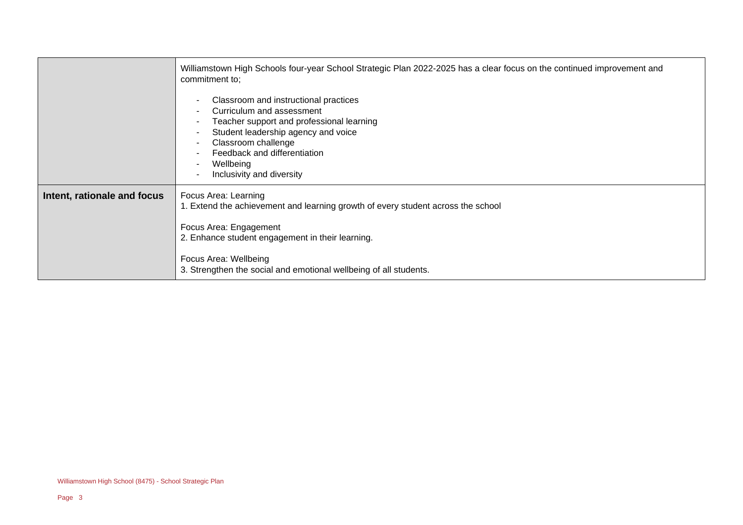| Williamstown High Schools four-year School Strategic Plan 2022-2025 has a clear focus on the continued improvement and<br>commitment to;                                                                                                                                             |
|--------------------------------------------------------------------------------------------------------------------------------------------------------------------------------------------------------------------------------------------------------------------------------------|
| Classroom and instructional practices<br>Curriculum and assessment<br>Teacher support and professional learning<br>Student leadership agency and voice<br>Classroom challenge<br>Feedback and differentiation<br>Wellbeing<br>Inclusivity and diversity                              |
| Focus Area: Learning<br>1. Extend the achievement and learning growth of every student across the school<br>Focus Area: Engagement<br>2. Enhance student engagement in their learning.<br>Focus Area: Wellbeing<br>3. Strengthen the social and emotional wellbeing of all students. |
|                                                                                                                                                                                                                                                                                      |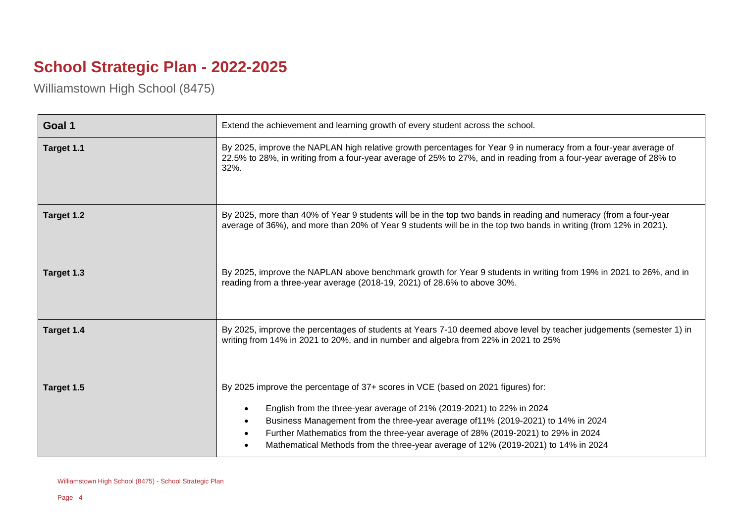## **School Strategic Plan - 2022-2025**

Williamstown High School (8475)

| Goal 1     | Extend the achievement and learning growth of every student across the school.                                                                                                                                                                                                                                                                                                                                                                                   |
|------------|------------------------------------------------------------------------------------------------------------------------------------------------------------------------------------------------------------------------------------------------------------------------------------------------------------------------------------------------------------------------------------------------------------------------------------------------------------------|
| Target 1.1 | By 2025, improve the NAPLAN high relative growth percentages for Year 9 in numeracy from a four-year average of<br>22.5% to 28%, in writing from a four-year average of 25% to 27%, and in reading from a four-year average of 28% to<br>$32%$ .                                                                                                                                                                                                                 |
| Target 1.2 | By 2025, more than 40% of Year 9 students will be in the top two bands in reading and numeracy (from a four-year<br>average of 36%), and more than 20% of Year 9 students will be in the top two bands in writing (from 12% in 2021).                                                                                                                                                                                                                            |
| Target 1.3 | By 2025, improve the NAPLAN above benchmark growth for Year 9 students in writing from 19% in 2021 to 26%, and in<br>reading from a three-year average (2018-19, 2021) of 28.6% to above 30%.                                                                                                                                                                                                                                                                    |
| Target 1.4 | By 2025, improve the percentages of students at Years 7-10 deemed above level by teacher judgements (semester 1) in<br>writing from 14% in 2021 to 20%, and in number and algebra from 22% in 2021 to 25%                                                                                                                                                                                                                                                        |
| Target 1.5 | By 2025 improve the percentage of 37+ scores in VCE (based on 2021 figures) for:<br>English from the three-year average of 21% (2019-2021) to 22% in 2024<br>$\bullet$<br>Business Management from the three-year average of 11% (2019-2021) to 14% in 2024<br>$\bullet$<br>Further Mathematics from the three-year average of 28% (2019-2021) to 29% in 2024<br>$\bullet$<br>Mathematical Methods from the three-year average of 12% (2019-2021) to 14% in 2024 |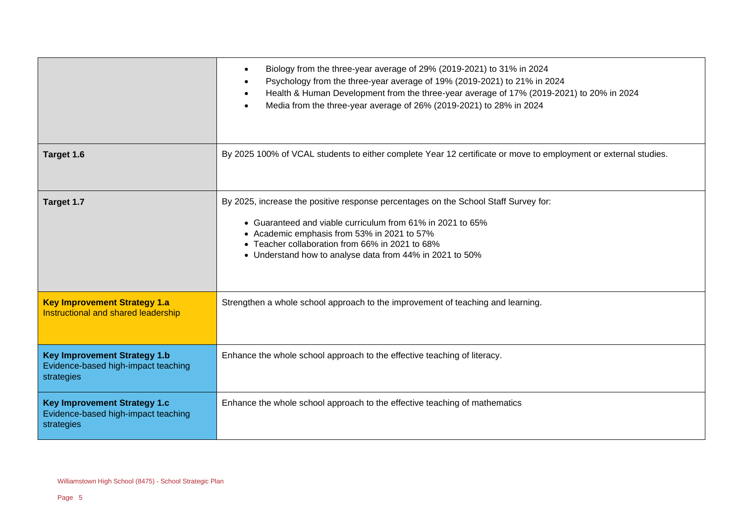|                                                                                          | Biology from the three-year average of 29% (2019-2021) to 31% in 2024<br>$\bullet$<br>Psychology from the three-year average of 19% (2019-2021) to 21% in 2024<br>$\bullet$<br>Health & Human Development from the three-year average of 17% (2019-2021) to 20% in 2024<br>$\bullet$<br>Media from the three-year average of 26% (2019-2021) to 28% in 2024 |
|------------------------------------------------------------------------------------------|-------------------------------------------------------------------------------------------------------------------------------------------------------------------------------------------------------------------------------------------------------------------------------------------------------------------------------------------------------------|
| Target 1.6                                                                               | By 2025 100% of VCAL students to either complete Year 12 certificate or move to employment or external studies.                                                                                                                                                                                                                                             |
| Target 1.7                                                                               | By 2025, increase the positive response percentages on the School Staff Survey for:<br>• Guaranteed and viable curriculum from 61% in 2021 to 65%<br>• Academic emphasis from 53% in 2021 to 57%<br>• Teacher collaboration from 66% in 2021 to 68%<br>• Understand how to analyse data from 44% in 2021 to 50%                                             |
| <b>Key Improvement Strategy 1.a</b><br>Instructional and shared leadership               | Strengthen a whole school approach to the improvement of teaching and learning.                                                                                                                                                                                                                                                                             |
| <b>Key Improvement Strategy 1.b</b><br>Evidence-based high-impact teaching<br>strategies | Enhance the whole school approach to the effective teaching of literacy.                                                                                                                                                                                                                                                                                    |
| <b>Key Improvement Strategy 1.c</b><br>Evidence-based high-impact teaching<br>strategies | Enhance the whole school approach to the effective teaching of mathematics                                                                                                                                                                                                                                                                                  |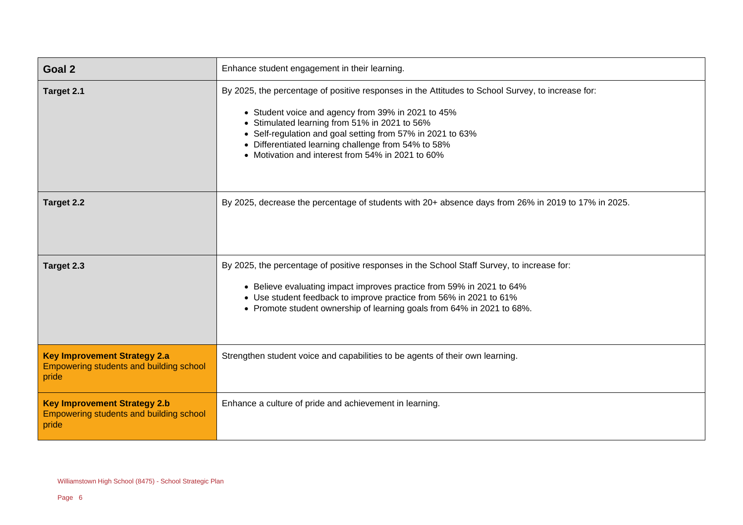| Goal 2                                                                                         | Enhance student engagement in their learning.                                                                                                                                                                                                                                                                                                                                |
|------------------------------------------------------------------------------------------------|------------------------------------------------------------------------------------------------------------------------------------------------------------------------------------------------------------------------------------------------------------------------------------------------------------------------------------------------------------------------------|
| Target 2.1                                                                                     | By 2025, the percentage of positive responses in the Attitudes to School Survey, to increase for:<br>• Student voice and agency from 39% in 2021 to 45%<br>Stimulated learning from 51% in 2021 to 56%<br>Self-regulation and goal setting from 57% in 2021 to 63%<br>Differentiated learning challenge from 54% to 58%<br>• Motivation and interest from 54% in 2021 to 60% |
| Target 2.2                                                                                     | By 2025, decrease the percentage of students with 20+ absence days from 26% in 2019 to 17% in 2025.                                                                                                                                                                                                                                                                          |
| Target 2.3                                                                                     | By 2025, the percentage of positive responses in the School Staff Survey, to increase for:<br>• Believe evaluating impact improves practice from 59% in 2021 to 64%<br>• Use student feedback to improve practice from 56% in 2021 to 61%<br>• Promote student ownership of learning goals from 64% in 2021 to 68%.                                                          |
| <b>Key Improvement Strategy 2.a</b><br>Empowering students and building school<br>pride        | Strengthen student voice and capabilities to be agents of their own learning.                                                                                                                                                                                                                                                                                                |
| <b>Key Improvement Strategy 2.b</b><br><b>Empowering students and building school</b><br>pride | Enhance a culture of pride and achievement in learning.                                                                                                                                                                                                                                                                                                                      |